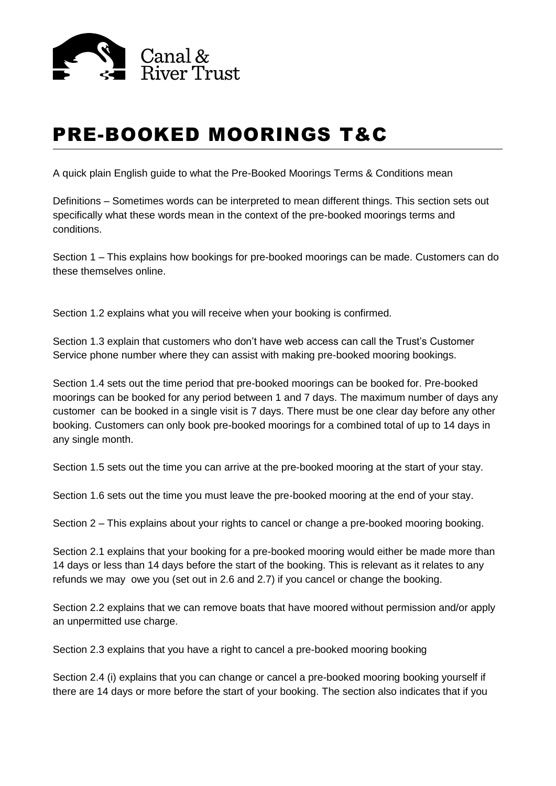

## PRE-BOOKED MOORINGS T&C

A quick plain English guide to what the Pre-Booked Moorings Terms & Conditions mean

Definitions – Sometimes words can be interpreted to mean different things. This section sets out specifically what these words mean in the context of the pre-booked moorings terms and conditions.

Section 1 – This explains how bookings for pre-booked moorings can be made. Customers can do these themselves online.

Section 1.2 explains what you will receive when your booking is confirmed.

Section 1.3 explain that customers who don't have web access can call the Trust's Customer Service phone number where they can assist with making pre-booked mooring bookings.

Section 1.4 sets out the time period that pre-booked moorings can be booked for. Pre-booked moorings can be booked for any period between 1 and 7 days. The maximum number of days any customer can be booked in a single visit is 7 days. There must be one clear day before any other booking. Customers can only book pre-booked moorings for a combined total of up to 14 days in any single month.

Section 1.5 sets out the time you can arrive at the pre-booked mooring at the start of your stay.

Section 1.6 sets out the time you must leave the pre-booked mooring at the end of your stay.

Section 2 – This explains about your rights to cancel or change a pre-booked mooring booking.

Section 2.1 explains that your booking for a pre-booked mooring would either be made more than 14 days or less than 14 days before the start of the booking. This is relevant as it relates to any refunds we may owe you (set out in 2.6 and 2.7) if you cancel or change the booking.

Section 2.2 explains that we can remove boats that have moored without permission and/or apply an unpermitted use charge.

Section 2.3 explains that you have a right to cancel a pre-booked mooring booking

Section 2.4 (i) explains that you can change or cancel a pre-booked mooring booking yourself if there are 14 days or more before the start of your booking. The section also indicates that if you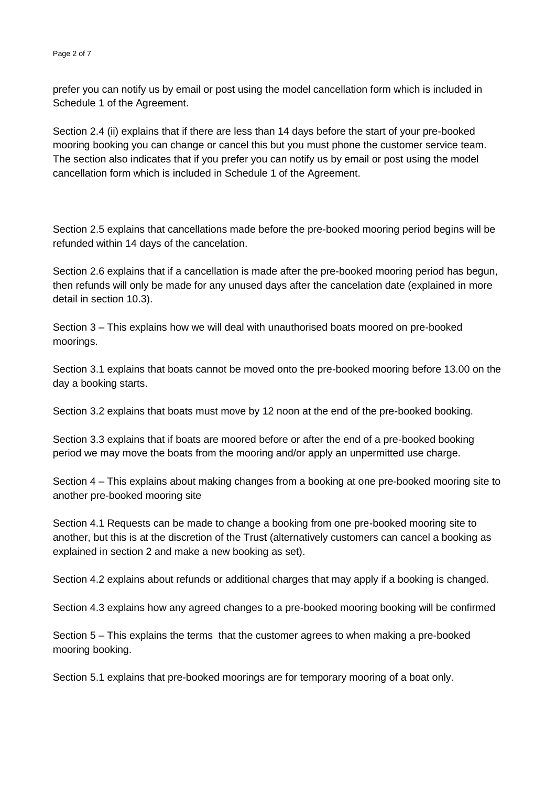prefer you can notify us by email or post using the model cancellation form which is included in Schedule 1 of the Agreement.

Section 2.4 (ii) explains that if there are less than 14 days before the start of your pre-booked mooring booking you can change or cancel this but you must phone the customer service team. The section also indicates that if you prefer you can notify us by email or post using the model cancellation form which is included in Schedule 1 of the Agreement.

Section 2.5 explains that cancellations made before the pre-booked mooring period begins will be refunded within 14 days of the cancelation.

Section 2.6 explains that if a cancellation is made after the pre-booked mooring period has begun, then refunds will only be made for any unused days after the cancelation date (explained in more detail in section 10.3).

Section 3 – This explains how we will deal with unauthorised boats moored on pre-booked moorings.

Section 3.1 explains that boats cannot be moved onto the pre-booked mooring before 13.00 on the day a booking starts.

Section 3.2 explains that boats must move by 12 noon at the end of the pre-booked booking.

Section 3.3 explains that if boats are moored before or after the end of a pre-booked booking period we may move the boats from the mooring and/or apply an unpermitted use charge.

Section 4 – This explains about making changes from a booking at one pre-booked mooring site to another pre-booked mooring site

Section 4.1 Requests can be made to change a booking from one pre-booked mooring site to another, but this is at the discretion of the Trust (alternatively customers can cancel a booking as explained in section 2 and make a new booking as set).

Section 4.2 explains about refunds or additional charges that may apply if a booking is changed.

Section 4.3 explains how any agreed changes to a pre-booked mooring booking will be confirmed

Section 5 – This explains the terms that the customer agrees to when making a pre-booked mooring booking.

Section 5.1 explains that pre-booked moorings are for temporary mooring of a boat only.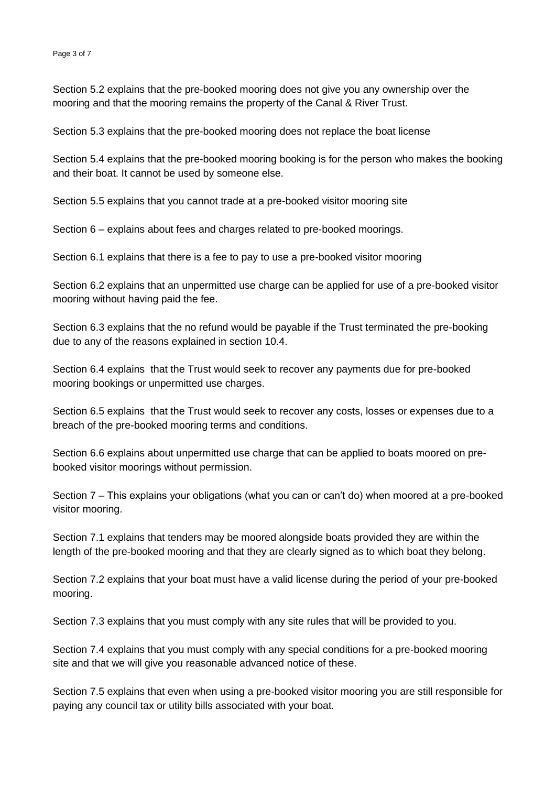Section 5.2 explains that the pre-booked mooring does not give you any ownership over the mooring and that the mooring remains the property of the Canal & River Trust.

Section 5.3 explains that the pre-booked mooring does not replace the boat license

Section 5.4 explains that the pre-booked mooring booking is for the person who makes the booking and their boat. It cannot be used by someone else.

Section 5.5 explains that you cannot trade at a pre-booked visitor mooring site

Section 6 – explains about fees and charges related to pre-booked moorings.

Section 6.1 explains that there is a fee to pay to use a pre-booked visitor mooring

Section 6.2 explains that an unpermitted use charge can be applied for use of a pre-booked visitor mooring without having paid the fee.

Section 6.3 explains that the no refund would be payable if the Trust terminated the pre-booking due to any of the reasons explained in section 10.4.

Section 6.4 explains that the Trust would seek to recover any payments due for pre-booked mooring bookings or unpermitted use charges.

Section 6.5 explains that the Trust would seek to recover any costs, losses or expenses due to a breach of the pre-booked mooring terms and conditions.

Section 6.6 explains about unpermitted use charge that can be applied to boats moored on prebooked visitor moorings without permission.

Section 7 – This explains your obligations (what you can or can't do) when moored at a pre-booked visitor mooring.

Section 7.1 explains that tenders may be moored alongside boats provided they are within the length of the pre-booked mooring and that they are clearly signed as to which boat they belong.

Section 7.2 explains that your boat must have a valid license during the period of your pre-booked mooring.

Section 7.3 explains that you must comply with any site rules that will be provided to you.

Section 7.4 explains that you must comply with any special conditions for a pre-booked mooring site and that we will give you reasonable advanced notice of these.

Section 7.5 explains that even when using a pre-booked visitor mooring you are still responsible for paying any council tax or utility bills associated with your boat.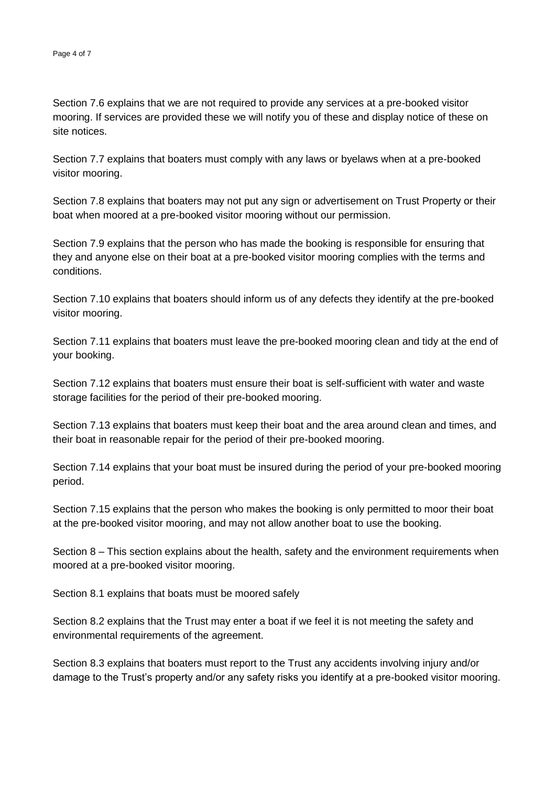Section 7.6 explains that we are not required to provide any services at a pre-booked visitor mooring. If services are provided these we will notify you of these and display notice of these on site notices.

Section 7.7 explains that boaters must comply with any laws or byelaws when at a pre-booked visitor mooring.

Section 7.8 explains that boaters may not put any sign or advertisement on Trust Property or their boat when moored at a pre-booked visitor mooring without our permission.

Section 7.9 explains that the person who has made the booking is responsible for ensuring that they and anyone else on their boat at a pre-booked visitor mooring complies with the terms and conditions.

Section 7.10 explains that boaters should inform us of any defects they identify at the pre-booked visitor mooring.

Section 7.11 explains that boaters must leave the pre-booked mooring clean and tidy at the end of your booking.

Section 7.12 explains that boaters must ensure their boat is self-sufficient with water and waste storage facilities for the period of their pre-booked mooring.

Section 7.13 explains that boaters must keep their boat and the area around clean and times, and their boat in reasonable repair for the period of their pre-booked mooring.

Section 7.14 explains that your boat must be insured during the period of your pre-booked mooring period.

Section 7.15 explains that the person who makes the booking is only permitted to moor their boat at the pre-booked visitor mooring, and may not allow another boat to use the booking.

Section 8 – This section explains about the health, safety and the environment requirements when moored at a pre-booked visitor mooring.

Section 8.1 explains that boats must be moored safely

Section 8.2 explains that the Trust may enter a boat if we feel it is not meeting the safety and environmental requirements of the agreement.

Section 8.3 explains that boaters must report to the Trust any accidents involving injury and/or damage to the Trust's property and/or any safety risks you identify at a pre-booked visitor mooring.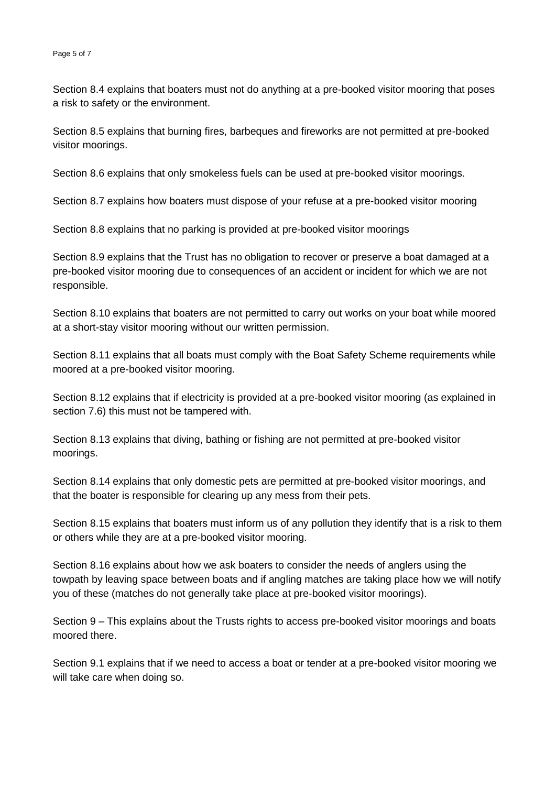Section 8.4 explains that boaters must not do anything at a pre-booked visitor mooring that poses a risk to safety or the environment.

Section 8.5 explains that burning fires, barbeques and fireworks are not permitted at pre-booked visitor moorings.

Section 8.6 explains that only smokeless fuels can be used at pre-booked visitor moorings.

Section 8.7 explains how boaters must dispose of your refuse at a pre-booked visitor mooring

Section 8.8 explains that no parking is provided at pre-booked visitor moorings

Section 8.9 explains that the Trust has no obligation to recover or preserve a boat damaged at a pre-booked visitor mooring due to consequences of an accident or incident for which we are not responsible.

Section 8.10 explains that boaters are not permitted to carry out works on your boat while moored at a short-stay visitor mooring without our written permission.

Section 8.11 explains that all boats must comply with the Boat Safety Scheme requirements while moored at a pre-booked visitor mooring.

Section 8.12 explains that if electricity is provided at a pre-booked visitor mooring (as explained in section 7.6) this must not be tampered with.

Section 8.13 explains that diving, bathing or fishing are not permitted at pre-booked visitor moorings.

Section 8.14 explains that only domestic pets are permitted at pre-booked visitor moorings, and that the boater is responsible for clearing up any mess from their pets.

Section 8.15 explains that boaters must inform us of any pollution they identify that is a risk to them or others while they are at a pre-booked visitor mooring.

Section 8.16 explains about how we ask boaters to consider the needs of anglers using the towpath by leaving space between boats and if angling matches are taking place how we will notify you of these (matches do not generally take place at pre-booked visitor moorings).

Section 9 – This explains about the Trusts rights to access pre-booked visitor moorings and boats moored there.

Section 9.1 explains that if we need to access a boat or tender at a pre-booked visitor mooring we will take care when doing so.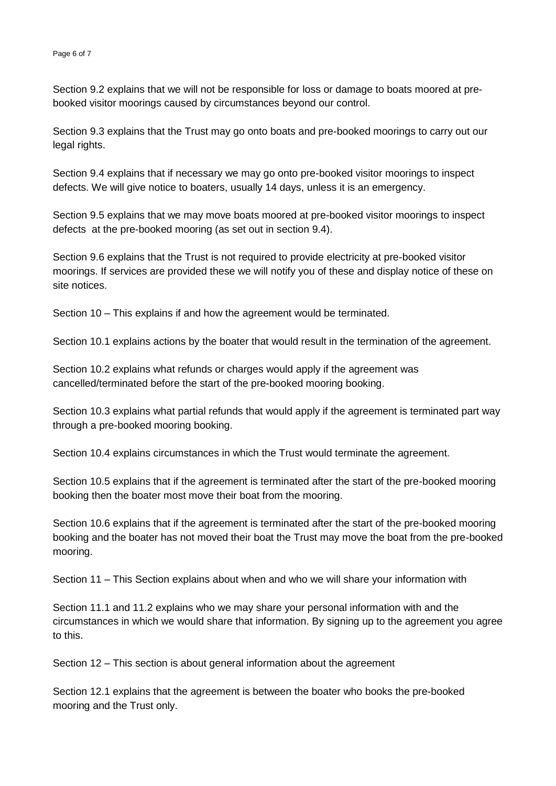Section 9.2 explains that we will not be responsible for loss or damage to boats moored at prebooked visitor moorings caused by circumstances beyond our control.

Section 9.3 explains that the Trust may go onto boats and pre-booked moorings to carry out our legal rights.

Section 9.4 explains that if necessary we may go onto pre-booked visitor moorings to inspect defects. We will give notice to boaters, usually 14 days, unless it is an emergency.

Section 9.5 explains that we may move boats moored at pre-booked visitor moorings to inspect defects at the pre-booked mooring (as set out in section 9.4).

Section 9.6 explains that the Trust is not required to provide electricity at pre-booked visitor moorings. If services are provided these we will notify you of these and display notice of these on site notices.

Section 10 – This explains if and how the agreement would be terminated.

Section 10.1 explains actions by the boater that would result in the termination of the agreement.

Section 10.2 explains what refunds or charges would apply if the agreement was cancelled/terminated before the start of the pre-booked mooring booking.

Section 10.3 explains what partial refunds that would apply if the agreement is terminated part way through a pre-booked mooring booking.

Section 10.4 explains circumstances in which the Trust would terminate the agreement.

Section 10.5 explains that if the agreement is terminated after the start of the pre-booked mooring booking then the boater most move their boat from the mooring.

Section 10.6 explains that if the agreement is terminated after the start of the pre-booked mooring booking and the boater has not moved their boat the Trust may move the boat from the pre-booked mooring.

Section 11 – This Section explains about when and who we will share your information with

Section 11.1 and 11.2 explains who we may share your personal information with and the circumstances in which we would share that information. By signing up to the agreement you agree to this.

Section 12 – This section is about general information about the agreement

Section 12.1 explains that the agreement is between the boater who books the pre-booked mooring and the Trust only.